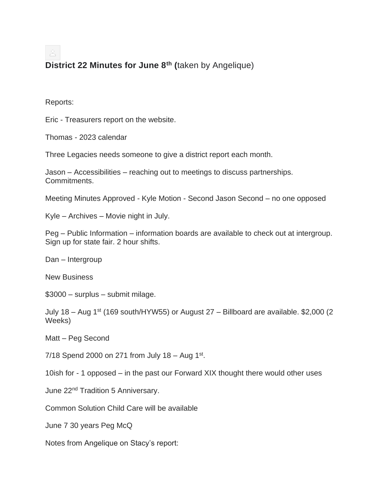**District 22 Minutes for June 8th (**taken by Angelique)

Reports:

Eric - Treasurers report on the website.

Thomas - 2023 calendar

Three Legacies needs someone to give a district report each month.

Jason – Accessibilities – reaching out to meetings to discuss partnerships. Commitments.

Meeting Minutes Approved - Kyle Motion - Second Jason Second – no one opposed

Kyle – Archives – Movie night in July.

Peg – Public Information – information boards are available to check out at intergroup. Sign up for state fair. 2 hour shifts.

Dan – Intergroup

New Business

\$3000 – surplus – submit milage.

July 18 – Aug 1<sup>st</sup> (169 south/HYW55) or August 27 – Billboard are available. \$2,000 (2) Weeks)

Matt – Peg Second

7/18 Spend 2000 on 271 from July 18 - Aug 1st.

10ish for - 1 opposed – in the past our Forward XIX thought there would other uses

June 22nd Tradition 5 Anniversary.

Common Solution Child Care will be available

June 7 30 years Peg McQ

Notes from Angelique on Stacy's report: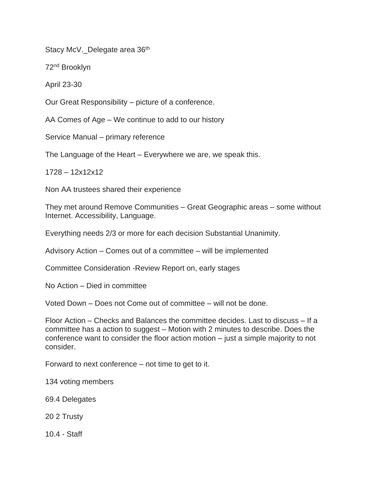Stacy McV. Delegate area 36th

72nd Brooklyn

April 23-30

Our Great Responsibility – picture of a conference.

AA Comes of Age – We continue to add to our history

Service Manual – primary reference

The Language of the Heart – Everywhere we are, we speak this.

1728 – 12x12x12

Non AA trustees shared their experience

They met around Remove Communities – Great Geographic areas – some without Internet. Accessibility, Language.

Everything needs 2/3 or more for each decision Substantial Unanimity.

Advisory Action – Comes out of a committee – will be implemented

Committee Consideration -Review Report on, early stages

No Action – Died in committee

Voted Down – Does not Come out of committee – will not be done.

Floor Action – Checks and Balances the committee decides. Last to discuss – If a committee has a action to suggest – Motion with 2 minutes to describe. Does the conference want to consider the floor action motion – just a simple majority to not consider.

Forward to next conference – not time to get to it.

134 voting members

69.4 Delegates

20 2 Trusty

10.4 - Staff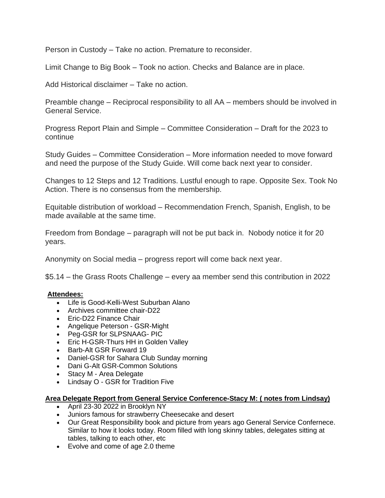Person in Custody – Take no action. Premature to reconsider.

Limit Change to Big Book – Took no action. Checks and Balance are in place.

Add Historical disclaimer – Take no action.

Preamble change – Reciprocal responsibility to all AA – members should be involved in General Service.

Progress Report Plain and Simple – Committee Consideration – Draft for the 2023 to continue

Study Guides – Committee Consideration – More information needed to move forward and need the purpose of the Study Guide. Will come back next year to consider.

Changes to 12 Steps and 12 Traditions. Lustful enough to rape. Opposite Sex. Took No Action. There is no consensus from the membership.

Equitable distribution of workload – Recommendation French, Spanish, English, to be made available at the same time.

Freedom from Bondage – paragraph will not be put back in. Nobody notice it for 20 years.

Anonymity on Social media – progress report will come back next year.

\$5.14 – the Grass Roots Challenge – every aa member send this contribution in 2022

## **Attendees:**

- Life is Good-Kelli-West Suburban Alano
- Archives committee chair-D22
- Eric-D22 Finance Chair
- Angelique Peterson GSR-Might
- Peg-GSR for SLPSNAAG- PIC
- Eric H-GSR-Thurs HH in Golden Valley
- Barb-Alt GSR Forward 19
- Daniel-GSR for Sahara Club Sunday morning
- Dani G-Alt GSR-Common Solutions
- Stacy M Area Delegate
- Lindsay O GSR for Tradition Five

## **Area Delegate Report from General Service Conference-Stacy M: ( notes from Lindsay)**

- April 23-30 2022 in Brooklyn NY
- Juniors famous for strawberry Cheesecake and desert
- Our Great Responsibility book and picture from years ago General Service Confernece. Similar to how it looks today. Room filled with long skinny tables, delegates sitting at tables, talking to each other, etc
- Evolve and come of age 2.0 theme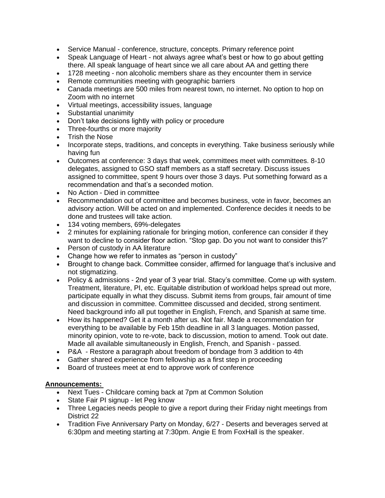- Service Manual conference, structure, concepts. Primary reference point
- Speak Language of Heart not always agree what's best or how to go about getting there. All speak language of heart since we all care about AA and getting there
- 1728 meeting non alcoholic members share as they encounter them in service
- Remote communities meeting with geographic barriers
- Canada meetings are 500 miles from nearest town, no internet. No option to hop on Zoom with no internet
- Virtual meetings, accessibility issues, language
- Substantial unanimity
- Don't take decisions lightly with policy or procedure
- Three-fourths or more majority
- Trish the Nose
- Incorporate steps, traditions, and concepts in everything. Take business seriously while having fun
- Outcomes at conference: 3 days that week, committees meet with committees. 8-10 delegates, assigned to GSO staff members as a staff secretary. Discuss issues assigned to committee, spent 9 hours over those 3 days. Put something forward as a recommendation and that's a seconded motion.
- No Action Died in committee
- Recommendation out of committee and becomes business, vote in favor, becomes an advisory action. Will be acted on and implemented. Conference decides it needs to be done and trustees will take action.
- 134 voting members, 69%-delegates
- 2 minutes for explaining rationale for bringing motion, conference can consider if they want to decline to consider floor action. "Stop gap. Do you not want to consider this?"
- Person of custody in AA literature
- Change how we refer to inmates as "person in custody"
- Brought to change back. Committee consider, affirmed for language that's inclusive and not stigmatizing.
- Policy & admissions 2nd year of 3 year trial. Stacy's committee. Come up with system. Treatment, literature, PI, etc. Equitable distribution of workload helps spread out more, participate equally in what they discuss. Submit items from groups, fair amount of time and discussion in committee. Committee discussed and decided, strong sentiment. Need background info all put together in English, French, and Spanish at same time.
- How its happened? Get it a month after us. Not fair. Made a recommendation for everything to be available by Feb 15th deadline in all 3 languages. Motion passed, minority opinion, vote to re-vote, back to discussion, motion to amend. Took out date. Made all available simultaneously in English, French, and Spanish - passed.
- P&A Restore a paragraph about freedom of bondage from 3 addition to 4th
- Gather shared experience from fellowship as a first step in proceeding
- Board of trustees meet at end to approve work of conference

## **Announcements:**

- Next Tues Childcare coming back at 7pm at Common Solution
- State Fair PI signup let Peg know
- Three Legacies needs people to give a report during their Friday night meetings from District 22
- Tradition Five Anniversary Party on Monday, 6/27 Deserts and beverages served at 6:30pm and meeting starting at 7:30pm. Angie E from FoxHall is the speaker.